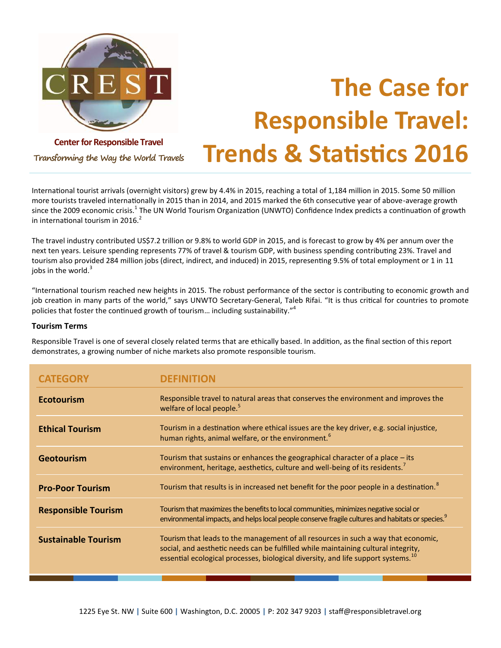

# **The Case for Responsible Travel: Trends & Statistics 2016**

**Transforming the Way the World Travels**

International tourist arrivals (overnight visitors) grew by 4.4% in 2015, reaching a total of 1,184 million in 2015. Some 50 million more tourists traveled internationally in 2015 than in 2014, and 2015 marked the 6th consecutive year of above-average growth since the 2009 economic crisis.<sup>1</sup> The UN World Tourism Organization (UNWTO) Confidence Index predicts a continuation of growth in international tourism in 2016. $<sup>2</sup>$ </sup>

The travel industry contributed US\$7.2 trillion or 9.8% to world GDP in 2015, and is forecast to grow by 4% per annum over the next ten years. Leisure spending represents 77% of travel & tourism GDP, with business spending contributing 23%. Travel and tourism also provided 284 million jobs (direct, indirect, and induced) in 2015, representing 9.5% of total employment or 1 in 11 jobs in the world. $3$ 

"International tourism reached new heights in 2015. The robust performance of the sector is contributing to economic growth and job creation in many parts of the world," says UNWTO Secretary-General, Taleb Rifai. "It is thus critical for countries to promote policies that foster the continued growth of tourism... including sustainability."<sup>4</sup>

#### **Tourism Terms**

Responsible Travel is one of several closely related terms that are ethically based. In addition, as the final section of this report demonstrates, a growing number of niche markets also promote responsible tourism.

| CATEGORY                   |                                                                                                                                                                                                                                                                           |
|----------------------------|---------------------------------------------------------------------------------------------------------------------------------------------------------------------------------------------------------------------------------------------------------------------------|
| <b>Ecotourism</b>          | Responsible travel to natural areas that conserves the environment and improves the<br>welfare of local people. <sup>5</sup>                                                                                                                                              |
| <b>Ethical Tourism</b>     | Tourism in a destination where ethical issues are the key driver, e.g. social injustice,<br>human rights, animal welfare, or the environment. <sup>6</sup>                                                                                                                |
| <b>Geotourism</b>          | Tourism that sustains or enhances the geographical character of a place – its<br>environment, heritage, aesthetics, culture and well-being of its residents. <sup>7</sup>                                                                                                 |
| <b>Pro-Poor Tourism</b>    | Tourism that results is in increased net benefit for the poor people in a destination. <sup>8</sup>                                                                                                                                                                       |
| <b>Responsible Tourism</b> | Tourism that maximizes the benefits to local communities, minimizes negative social or<br>environmental impacts, and helps local people conserve fragile cultures and habitats or species. <sup>9</sup>                                                                   |
| <b>Sustainable Tourism</b> | Tourism that leads to the management of all resources in such a way that economic,<br>social, and aesthetic needs can be fulfilled while maintaining cultural integrity,<br>essential ecological processes, biological diversity, and life support systems. <sup>10</sup> |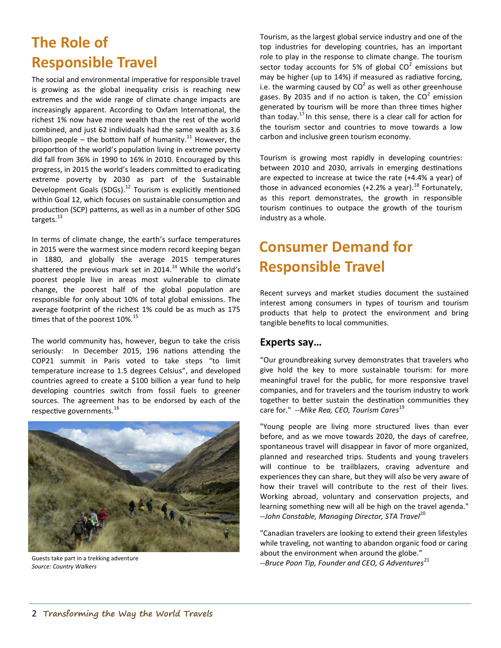# **The Role of Responsible Travel**

The social and environmental imperative for responsible travel is growing as the global inequality crisis is reaching new extremes and the wide range of climate change impacts are increasingly apparent. According to Oxfam International, the richest 1% now have more wealth than the rest of the world combined, and just 62 individuals had the same wealth as 3.6 billion people – the bottom half of humanity.<sup>11</sup> However, the proportion of the world's population living in extreme poverty did fall from 36% in 1990 to 16% in 2010. Encouraged by this progress, in 2015 the world's leaders committed to eradicating extreme poverty by 2030 as part of the Sustainable Development Goals (SDGs).<sup>12</sup> Tourism is explicitly mentioned within Goal 12, which focuses on sustainable consumption and production (SCP) patterns, as well as in a number of other SDG targets.<sup>13</sup>

In terms of climate change, the earth's surface temperatures in 2015 were the warmest since modern record keeping began in 1880, and globally the average 2015 temperatures shattered the previous mark set in 2014.<sup>14</sup> While the world's poorest people live in areas most vulnerable to climate change, the poorest half of the global population are responsible for only about 10% of total global emissions. The average footprint of the richest 1% could be as much as 175 times that of the poorest 10%.<sup>15</sup>

The world community has, however, begun to take the crisis seriously: In December 2015, 196 nations attending the COP21 summit in Paris voted to take steps "to limit temperature increase to 1.5 degrees Celsius", and developed countries agreed to create a \$100 billion a year fund to help developing countries switch from fossil fuels to greener sources. The agreement has to be endorsed by each of the respective governments.<sup>16</sup>



Guests take part in a trekking adventure *Source: Country Walkers*

Tourism, as the largest global service industry and one of the top industries for developing countries, has an important role to play in the response to climate change. The tourism sector today accounts for 5% of global  $CO^2$  emissions but may be higher (up to 14%) if measured as radiative forcing, i.e. the warming caused by  $CO^2$  as well as other greenhouse gases. By 2035 and if no action is taken, the CO<sup>2</sup> emission generated by tourism will be more than three times higher than today. $^{17}$  In this sense, there is a clear call for action for the tourism sector and countries to move towards a low carbon and inclusive green tourism economy.

Tourism is growing most rapidly in developing countries: between 2010 and 2030, arrivals in emerging destinations are expected to increase at twice the rate (+4.4% a year) of those in advanced economies (+2.2% a year).<sup>18</sup> Fortunately, as this report demonstrates, the growth in responsible tourism continues to outpace the growth of the tourism industry as a whole.

# **Consumer Demand for Responsible Travel**

Recent surveys and market studies document the sustained interest among consumers in types of tourism and tourism products that help to protect the environment and bring tangible benefits to local communities.

### **Experts say…**

"Our groundbreaking survey demonstrates that travelers who give hold the key to more sustainable tourism: for more meaningful travel for the public, for more responsive travel companies, and for travelers and the tourism industry to work together to better sustain the destination communities they care for." *--Mike Rea, CEO, Tourism Cares*<sup>19</sup>

"Young people are living more structured lives than ever before, and as we move towards 2020, the days of carefree, spontaneous travel will disappear in favor of more organized, planned and researched trips. Students and young travelers will continue to be trailblazers, craving adventure and experiences they can share, but they will also be very aware of how their travel will contribute to the rest of their lives. Working abroad, voluntary and conservation projects, and learning something new will all be high on the travel agenda." *--John Constable, Managing Director, STA Travel*<sup>20</sup>

"Canadian travelers are looking to extend their green lifestyles while traveling, not wanting to abandon organic food or caring about the environment when around the globe." --Bruce Poon Tip, Founder and CEO, G Adventures<sup>21</sup>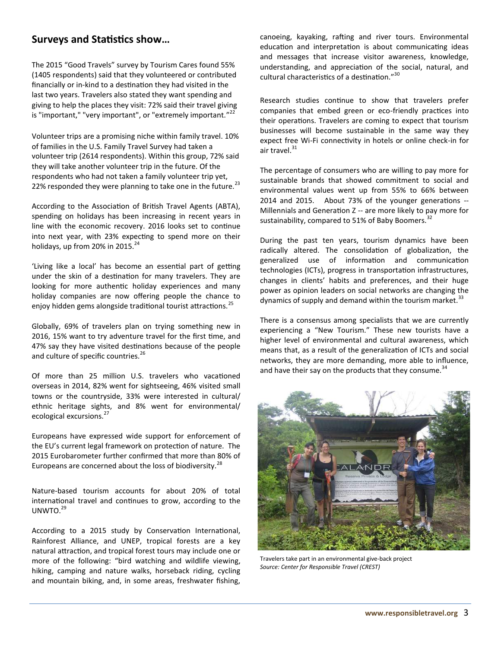### **Surveys and Statistics show…**

The 2015 "Good Travels" survey by Tourism Cares found 55% (1405 respondents) said that they volunteered or contributed financially or in-kind to a destination they had visited in the last two years. Travelers also stated they want spending and giving to help the places they visit: 72% said their travel giving is "important," "very important", or "extremely important."<sup>22</sup>

Volunteer trips are a promising niche within family travel. 10% of families in the U.S. Family Travel Survey had taken a volunteer trip (2614 respondents). Within this group, 72% said they will take another volunteer trip in the future. Of the respondents who had not taken a family volunteer trip yet, 22% responded they were planning to take one in the future. $^{23}$ 

According to the Association of British Travel Agents (ABTA), spending on holidays has been increasing in recent years in line with the economic recovery. 2016 looks set to continue into next year, with 23% expecting to spend more on their holidays, up from 20% in 2015. $^{24}$ 

'Living like a local' has become an essential part of getting under the skin of a destination for many travelers. They are looking for more authentic holiday experiences and many holiday companies are now offering people the chance to enjoy hidden gems alongside traditional tourist attractions.<sup>25</sup>

Globally, 69% of travelers plan on trying something new in 2016, 15% want to try adventure travel for the first time, and 47% say they have visited destinations because of the people and culture of specific countries.<sup>26</sup>

Of more than 25 million U.S. travelers who vacationed overseas in 2014, 82% went for sightseeing, 46% visited small towns or the countryside, 33% were interested in cultural/ ethnic heritage sights, and 8% went for environmental/ ecological excursions.<sup>27</sup>

Europeans have expressed wide support for enforcement of the EU's current legal framework on protection of nature. The 2015 Eurobarometer further confirmed that more than 80% of Europeans are concerned about the loss of biodiversity.<sup>28</sup>

Nature-based tourism accounts for about 20% of total international travel and continues to grow, according to the UNWTO. $^{29}$ 

According to a 2015 study by Conservation International, Rainforest Alliance, and UNEP, tropical forests are a key natural attraction, and tropical forest tours may include one or more of the following: "bird watching and wildlife viewing, hiking, camping and nature walks, horseback riding, cycling and mountain biking, and, in some areas, freshwater fishing,

canoeing, kayaking, rafting and river tours. Environmental education and interpretation is about communicating ideas and messages that increase visitor awareness, knowledge, understanding, and appreciation of the social, natural, and cultural characteristics of a destination." 30

Research studies continue to show that travelers prefer companies that embed green or eco-friendly practices into their operations. Travelers are coming to expect that tourism businesses will become sustainable in the same way they expect free Wi-Fi connectivity in hotels or online check-in for air travel.<sup>31</sup>

The percentage of consumers who are willing to pay more for sustainable brands that showed commitment to social and environmental values went up from 55% to 66% between 2014 and 2015. About 73% of the younger generations -- Millennials and Generation Z -- are more likely to pay more for sustainability, compared to 51% of Baby Boomers.<sup>3</sup>

During the past ten years, tourism dynamics have been radically altered. The consolidation of globalization, the generalized use of information and communication technologies (ICTs), progress in transportation infrastructures, changes in clients' habits and preferences, and their huge power as opinion leaders on social networks are changing the dynamics of supply and demand within the tourism market.<sup>33</sup>

There is a consensus among specialists that we are currently experiencing a "New Tourism." These new tourists have a higher level of environmental and cultural awareness, which means that, as a result of the generalization of ICTs and social networks, they are more demanding, more able to influence, and have their say on the products that they consume.  $34$ 



Travelers take part in an environmental give-back project *Source: Center for Responsible Travel (CREST)*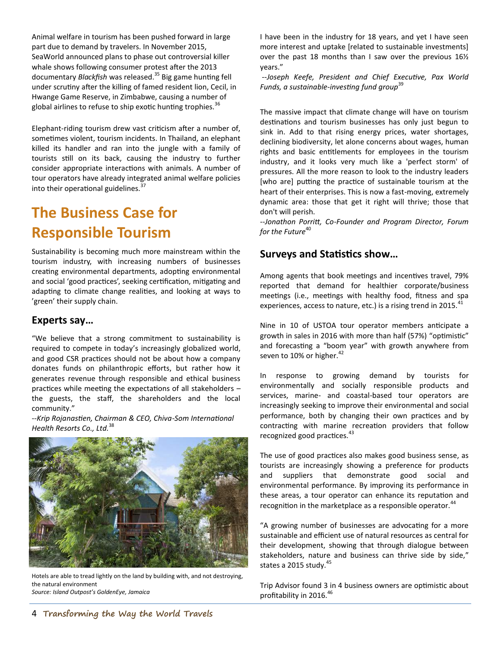Animal welfare in tourism has been pushed forward in large part due to demand by travelers. In November 2015, SeaWorld announced plans to phase out controversial killer whale shows following consumer protest after the 2013 documentary *Blackfish* was released.<sup>35</sup> Big game hunting fell under scrutiny after the killing of famed resident lion, Cecil, in Hwange Game Reserve, in Zimbabwe, causing a number of global airlines to refuse to ship exotic hunting trophies.<sup>36</sup>

Elephant-riding tourism drew vast criticism after a number of, sometimes violent, tourism incidents. In Thailand, an elephant killed its handler and ran into the jungle with a family of tourists still on its back, causing the industry to further consider appropriate interactions with animals. A number of tour operators have already integrated animal welfare policies into their operational guidelines.<sup>37</sup>

# **The Business Case for Responsible Tourism**

Sustainability is becoming much more mainstream within the tourism industry, with increasing numbers of businesses creating environmental departments, adopting environmental and social 'good practices', seeking certification, mitigating and adapting to climate change realities, and looking at ways to 'green' their supply chain.

### **Experts say…**

"We believe that a strong commitment to sustainability is required to compete in today's increasingly globalized world, and good CSR practices should not be about how a company donates funds on philanthropic efforts, but rather how it generates revenue through responsible and ethical business practices while meeting the expectations of all stakeholders – the guests, the staff, the shareholders and the local community."

--*Krip Rojanastien, Chairman & CEO, Chiva-Som International Health Resorts Co., Ltd.*<sup>38</sup>



Hotels are able to tread lightly on the land by building with, and not destroying, the natural environment *Source: Island Outpost's GoldenEye, Jamaica*

I have been in the industry for 18 years, and yet I have seen more interest and uptake [related to sustainable investments] over the past 18 months than I saw over the previous 16½ years."

*--Joseph Keefe, President and Chief Executive, Pax World Funds, a sustainable-investing fund group*<sup>39</sup>

The massive impact that climate change will have on tourism destinations and tourism businesses has only just begun to sink in. Add to that rising energy prices, water shortages, declining biodiversity, let alone concerns about wages, human rights and basic entitlements for employees in the tourism industry, and it looks very much like a 'perfect storm' of pressures. All the more reason to look to the industry leaders [who are] putting the practice of sustainable tourism at the heart of their enterprises. This is now a fast-moving, extremely dynamic area: those that get it right will thrive; those that don't will perish.

*--Jonathon Porritt, Co-Founder and Program Director, Forum for the Future*<sup>40</sup>

#### **Surveys and Statistics show…**

Among agents that book meetings and incentives travel, 79% reported that demand for healthier corporate/business meetings (i.e., meetings with healthy food, fitness and spa experiences, access to nature, etc.) is a rising trend in 2015. $^{41}$ 

Nine in 10 of USTOA tour operator members anticipate a growth in sales in 2016 with more than half (57%) "optimistic" and forecasting a "boom year" with growth anywhere from seven to 10% or higher.<sup>42</sup>

In response to growing demand by tourists for environmentally and socially responsible products and services, marine- and coastal-based tour operators are increasingly seeking to improve their environmental and social performance, both by changing their own practices and by contracting with marine recreation providers that follow recognized good practices.<sup>43</sup>

The use of good practices also makes good business sense, as tourists are increasingly showing a preference for products and suppliers that demonstrate good social and environmental performance. By improving its performance in these areas, a tour operator can enhance its reputation and recognition in the marketplace as a responsible operator.<sup>44</sup>

"A growing number of businesses are advocating for a more sustainable and efficient use of natural resources as central for their development, showing that through dialogue between stakeholders, nature and business can thrive side by side," states a 2015 study.<sup>45</sup>

Trip Advisor found 3 in 4 business owners are optimistic about profitability in 2016.<sup>46</sup>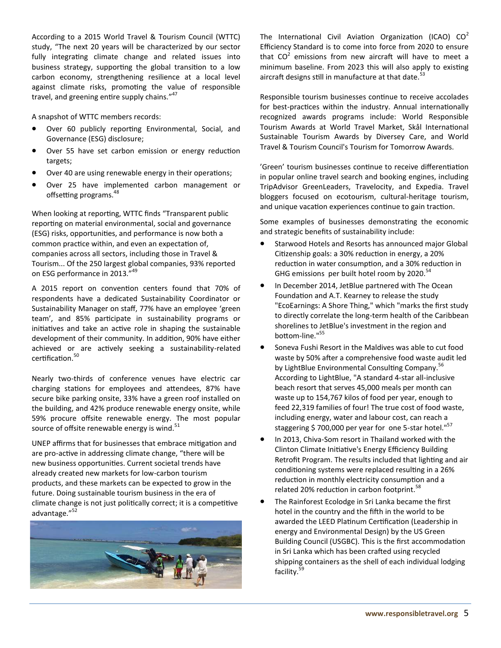According to a 2015 World Travel & Tourism Council (WTTC) study, "The next 20 years will be characterized by our sector fully integrating climate change and related issues into business strategy, supporting the global transition to a low carbon economy, strengthening resilience at a local level against climate risks, promoting the value of responsible travel, and greening entire supply chains."<sup>47</sup>

A snapshot of WTTC members records:

- Over 60 publicly reporting Environmental, Social, and Governance (ESG) disclosure;
- Over 55 have set carbon emission or energy reduction targets;
- Over 40 are using renewable energy in their operations;
- Over 25 have implemented carbon management or offsetting programs.<sup>48</sup>

When looking at reporting, WTTC finds "Transparent public reporting on material environmental, social and governance (ESG) risks, opportunities, and performance is now both a common practice within, and even an expectation of, companies across all sectors, including those in Travel & Tourism... Of the 250 largest global companies, 93% reported on ESG performance in 2013."<sup>49</sup>

A 2015 report on convention centers found that 70% of respondents have a dedicated Sustainability Coordinator or Sustainability Manager on staff, 77% have an employee 'green team', and 85% participate in sustainability programs or initiatives and take an active role in shaping the sustainable development of their community. In addition, 90% have either achieved or are actively seeking a sustainability-related certification.<sup>50</sup>

Nearly two-thirds of conference venues have electric car charging stations for employees and attendees, 87% have secure bike parking onsite, 33% have a green roof installed on the building, and 42% produce renewable energy onsite, while 59% procure offsite renewable energy. The most popular source of offsite renewable energy is wind. $51$ 

UNEP affirms that for businesses that embrace mitigation and are pro-active in addressing climate change, "there will be new business opportunities. Current societal trends have already created new markets for low-carbon tourism products, and these markets can be expected to grow in the future. Doing sustainable tourism business in the era of climate change is not just politically correct; it is a competitive advantage." 52



The International Civil Aviation Organization (ICAO)  $CO<sup>2</sup>$ Efficiency Standard is to come into force from 2020 to ensure that  $CO^2$  emissions from new aircraft will have to meet a minimum baseline. From 2023 this will also apply to existing aircraft designs still in manufacture at that date. $53$ 

Responsible tourism businesses continue to receive accolades for best-practices within the industry. Annual internationally recognized awards programs include: World Responsible Tourism Awards at World Travel Market, Skål International Sustainable Tourism Awards by Diversey Care, and World Travel & Tourism Council's Tourism for Tomorrow Awards.

'Green' tourism businesses continue to receive differentiation in popular online travel search and booking engines, including TripAdvisor GreenLeaders, Travelocity, and Expedia. Travel bloggers focused on ecotourism, cultural-heritage tourism, and unique vacation experiences continue to gain traction.

Some examples of businesses demonstrating the economic and strategic benefits of sustainability include:

- Starwood Hotels and Resorts has announced major Global Citizenship goals: a 30% reduction in energy, a 20% reduction in water consumption, and a 30% reduction in GHG emissions per built hotel room by 2020.<sup>54</sup>
- In December 2014, JetBlue partnered with The Ocean Foundation and A.T. Kearney to release the study "EcoEarnings: A Shore Thing," which "marks the first study to directly correlate the long-term health of the Caribbean shorelines to JetBlue's investment in the region and bottom-line."<sup>55</sup>
- Soneva Fushi Resort in the Maldives was able to cut food waste by 50% after a comprehensive food waste audit led by LightBlue Environmental Consulting Company.<sup>56</sup> According to LightBlue, "A standard 4-star all-inclusive beach resort that serves 45,000 meals per month can waste up to 154,767 kilos of food per year, enough to feed 22,319 families of four! The true cost of food waste, including energy, water and labour cost, can reach a staggering \$700,000 per year for one 5-star hotel."<sup>57</sup>
- In 2013, Chiva-Som resort in Thailand worked with the Clinton Climate Initiative's Energy Efficiency Building Retrofit Program. The results included that lighting and air conditioning systems were replaced resulting in a 26% reduction in monthly electricity consumption and a related 20% reduction in carbon footprint.<sup>58</sup>
- The Rainforest Ecolodge in Sri Lanka became the first hotel in the country and the fifth in the world to be awarded the LEED Platinum Certification (Leadership in energy and Environmental Design) by the US Green Building Council (USGBC). This is the first accommodation in Sri Lanka which has been crafted using recycled shipping containers as the shell of each individual lodging facility.<sup>59</sup>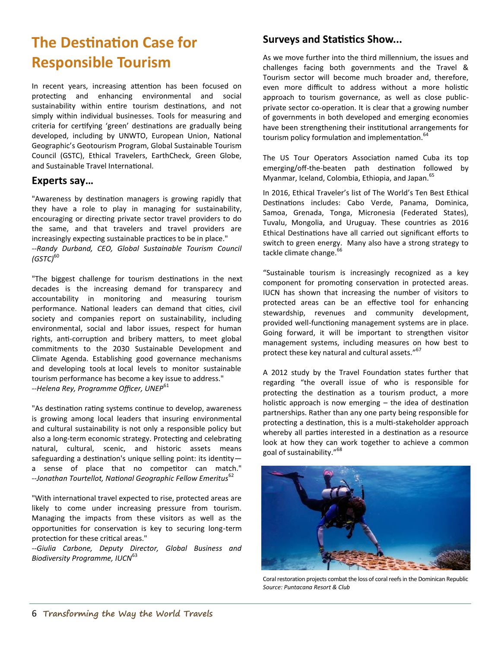# **The Destination Case for Responsible Tourism**

In recent years, increasing attention has been focused on protecting and enhancing environmental and social sustainability within entire tourism destinations, and not simply within individual businesses. Tools for measuring and criteria for certifying 'green' destinations are gradually being developed, including by UNWTO, European Union, National Geographic's Geotourism Program, Global Sustainable Tourism Council (GSTC), Ethical Travelers, EarthCheck, Green Globe, and Sustainable Travel International.

#### **Experts say…**

"Awareness by destination managers is growing rapidly that they have a role to play in managing for sustainability, encouraging or directing private sector travel providers to do the same, and that travelers and travel providers are increasingly expecting sustainable practices to be in place." *--Randy Durband, CEO, Global Sustainable Tourism Council (GSTC)*<sup>60</sup>

"The biggest challenge for tourism destinations in the next decades is the increasing demand for transparecy and accountability in monitoring and measuring tourism performance. National leaders can demand that cities, civil society and companies report on sustainability, including environmental, social and labor issues, respect for human rights, anti-corruption and bribery matters, to meet global commitments to the 2030 Sustainable Development and Climate Agenda. Establishing good governance mechanisms and developing tools at local levels to monitor sustainable tourism performance has become a key issue to address." *--Helena Rey, Programme Officer, UNEP*<sup>61</sup>

"As destination rating systems continue to develop, awareness is growing among local leaders that insuring environmental and cultural sustainability is not only a responsible policy but also a long-term economic strategy. Protecting and celebrating natural, cultural, scenic, and historic assets means safeguarding a destination's unique selling point: its identity a sense of place that no competitor can match." --*Jonathan Tourtellot, National Geographic Fellow Emeritus*<sup>62</sup>

"With international travel expected to rise, protected areas are likely to come under increasing pressure from tourism. Managing the impacts from these visitors as well as the opportunities for conservation is key to securing long-term protection for these critical areas."

*--Giulia Carbone, Deputy Director, Global Business and*  **Biodiversity Programme, IUCN<sup>63</sup>** 

# **Surveys and Statistics Show...**

As we move further into the third millennium, the issues and challenges facing both governments and the Travel & Tourism sector will become much broader and, therefore, even more difficult to address without a more holistic approach to tourism governance, as well as close publicprivate sector co-operation. It is clear that a growing number of governments in both developed and emerging economies have been strengthening their institutional arrangements for tourism policy formulation and implementation.<sup>64</sup>

The US Tour Operators Association named Cuba its top emerging/off-the-beaten path destination followed by Myanmar, Iceland, Colombia, Ethiopia, and Japan.<sup>65</sup>

In 2016, Ethical Traveler's list of The World's Ten Best Ethical Destinations includes: Cabo Verde, Panama, Dominica, Samoa, Grenada, Tonga, Micronesia (Federated States), Tuvalu, Mongolia, and Uruguay. These countries as 2016 Ethical Destinations have all carried out significant efforts to switch to green energy. Many also have a strong strategy to tackle climate change.<sup>66</sup>

"Sustainable tourism is increasingly recognized as a key component for promoting conservation in protected areas. IUCN has shown that increasing the number of visitors to protected areas can be an effective tool for enhancing stewardship, revenues and community development, provided well-functioning management systems are in place. Going forward, it will be important to strengthen visitor management systems, including measures on how best to protect these key natural and cultural assets."<sup>67</sup>

A 2012 study by the Travel Foundation states further that regarding "the overall issue of who is responsible for protecting the destination as a tourism product, a more holistic approach is now emerging – the idea of destination partnerships. Rather than any one party being responsible for protecting a destination, this is a multi-stakeholder approach whereby all parties interested in a destination as a resource look at how they can work together to achieve a common goal of sustainability." 68



Coral restoration projects combat the loss of coral reefs in the Dominican Republic *Source: Puntacana Resort & Club*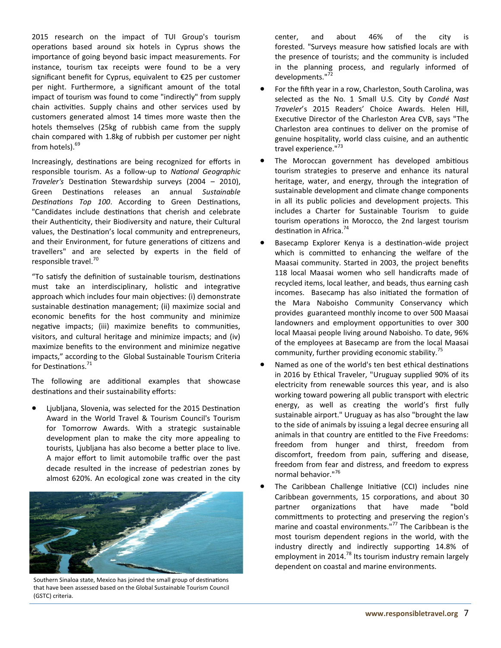2015 research on the impact of TUI Group's tourism operations based around six hotels in Cyprus shows the importance of going beyond basic impact measurements. For instance, tourism tax receipts were found to be a very significant benefit for Cyprus, equivalent to €25 per customer per night. Furthermore, a significant amount of the total impact of tourism was found to come "indirectly" from supply chain activities. Supply chains and other services used by customers generated almost 14 times more waste then the hotels themselves (25kg of rubbish came from the supply chain compared with 1.8kg of rubbish per customer per night from hotels).<sup>69</sup>

Increasingly, destinations are being recognized for efforts in responsible tourism. As a follow-up to *National Geographic Traveler's* Destination Stewardship surveys (2004 – 2010), Green Destinations releases an annual *Sustainable Destinations Top 100*. According to Green Destinations, "Candidates include destinations that cherish and celebrate their Authenticity, their Biodiversity and nature, their Cultural values, the Destination's local community and entrepreneurs, and their Environment, for future generations of citizens and travellers" and are selected by experts in the field of responsible travel.<sup>70</sup>

"To satisfy the definition of sustainable tourism, destinations must take an interdisciplinary, holistic and integrative approach which includes four main objectives: (i) demonstrate sustainable destination management; (ii) maximize social and economic benefits for the host community and minimize negative impacts; (iii) maximize benefits to communities, visitors, and cultural heritage and minimize impacts; and (iv) maximize benefits to the environment and minimize negative impacts," according to the Global Sustainable Tourism Criteria for Destinations.<sup>71</sup>

The following are additional examples that showcase destinations and their sustainability efforts:

 Ljubljana, Slovenia, was selected for the 2015 Destination Award in the World Travel & Tourism Council's Tourism for Tomorrow Awards. With a strategic sustainable development plan to make the city more appealing to tourists, Ljubljana has also become a better place to live. A major effort to limit automobile traffic over the past decade resulted in the increase of pedestrian zones by almost 620%. An ecological zone was created in the city



Southern Sinaloa state, Mexico has joined the small group of destinations that have been assessed based on the Global Sustainable Tourism Council (GSTC) criteria.

 center, and about 46% of the city is forested. "Surveys measure how satisfied locals are with the presence of tourists; and the community is included in the planning process, and regularly informed of developments."<sup>72</sup>

- For the fifth year in a row, Charleston, South Carolina, was selected as the No. 1 Small U.S. City by *Condé Nast Traveler*'s 2015 Readers' Choice Awards. Helen Hill, Executive Director of the Charleston Area CVB, says "The Charleston area continues to deliver on the promise of genuine hospitality, world class cuisine, and an authentic travel experience."<sup>73</sup>
- The Moroccan government has developed ambitious tourism strategies to preserve and enhance its natural heritage, water, and energy, through the integration of sustainable development and climate change components in all its public policies and development projects. This includes a Charter for Sustainable Tourism to guide tourism operations in Morocco, the 2nd largest tourism destination in Africa.<sup>74</sup>
- Basecamp Explorer Kenya is a destination-wide project which is committed to enhancing the welfare of the Maasai community. Started in 2003, the project benefits 118 local Maasai women who sell handicrafts made of recycled items, local leather, and beads, thus earning cash incomes. Basecamp has also initiated the formation of the Mara Naboisho Community Conservancy which provides guaranteed monthly income to over 500 Maasai landowners and employment opportunities to over 300 local Maasai people living around Naboisho. To date, 96% of the employees at Basecamp are from the local Maasai community, further providing economic stability. $75$
- Named as one of the world's ten best ethical destinations in 2016 by Ethical Traveler, "Uruguay supplied 90% of its electricity from renewable sources this year, and is also working toward powering all public transport with electric energy, as well as creating the world's first fully sustainable airport." Uruguay as has also "brought the law to the side of animals by issuing a legal decree ensuring all animals in that country are entitled to the Five Freedoms: freedom from hunger and thirst, freedom from discomfort, freedom from pain, suffering and disease, freedom from fear and distress, and freedom to express normal behavior."<sup>76</sup>
- The Caribbean Challenge Initiative (CCI) includes nine Caribbean governments, 15 corporations, and about 30 partner organizations that have made "bold committments to protecting and preserving the region's marine and coastal environments."<sup>77</sup> The Caribbean is the most tourism dependent regions in the world, with the industry directly and indirectly supporting 14.8% of employment in 2014.<sup>78</sup> Its tourism industry remain largely dependent on coastal and marine environments.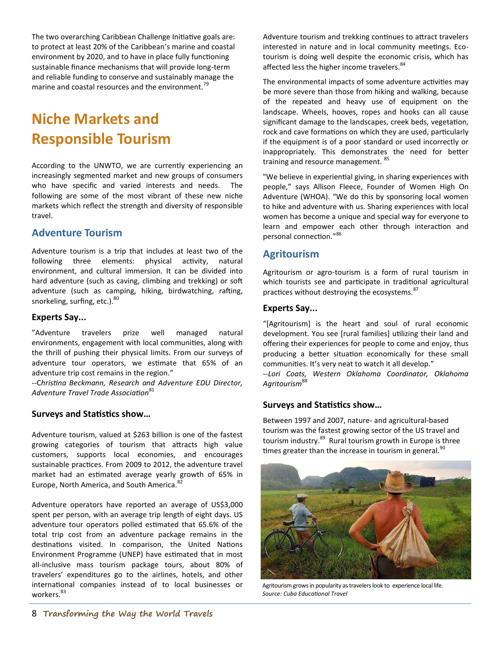The two overarching Caribbean Challenge Initiative goals are: to protect at least 20% of the Caribbean's marine and coastal environment by 2020, and to have in place fully functioning sustainable finance mechanisms that will provide long-term and reliable funding to conserve and sustainably manage the marine and coastal resources and the environment.<sup>79</sup>

# **Niche Markets and Responsible Tourism**

According to the UNWTO, we are currently experiencing an increasingly segmented market and new groups of consumers who have specific and varied interests and needs. The following are some of the most vibrant of these new niche markets which reflect the strength and diversity of responsible travel.

#### **Adventure Tourism**

Adventure tourism is a trip that includes at least two of the following three elements: physical activity, natural environment, and cultural immersion. It can be divided into hard adventure (such as caving, climbing and trekking) or soft adventure (such as camping, hiking, birdwatching, rafting, snorkeling, surfing, etc.).<sup>80</sup>

#### **Experts Say...**

"Adventure travelers prize well managed natural environments, engagement with local communities, along with the thrill of pushing their physical limits. From our surveys of adventure tour operators, we estimate that 65% of an adventure trip cost remains in the region."

--C*hristina Beckmann, Research and Adventure EDU Director, Adventure Travel Trade Association*<sup>81</sup>

#### **Surveys and Statistics show…**

Adventure tourism, valued at \$263 billion is one of the fastest growing categories of tourism that attracts high value customers, supports local economies, and encourages sustainable practices. From 2009 to 2012, the adventure travel market had an estimated average yearly growth of 65% in Europe, North America, and South America.<sup>8</sup>

Adventure operators have reported an average of US\$3,000 spent per person, with an average trip length of eight days. US adventure tour operators polled estimated that 65.6% of the total trip cost from an adventure package remains in the destinations visited. In comparison, the United Nations Environment Programme (UNEP) have estimated that in most all-inclusive mass tourism package tours, about 80% of travelers' expenditures go to the airlines, hotels, and other international companies instead of to local businesses or workers.<sup>83</sup>

Adventure tourism and trekking continues to attract travelers interested in nature and in local community meetings. Ecotourism is doing well despite the economic crisis, which has affected less the higher income travelers.<sup>84</sup>

The environmental impacts of some adventure activities may be more severe than those from hiking and walking, because of the repeated and heavy use of equipment on the landscape. Wheels, hooves, ropes and hooks can all cause significant damage to the landscapes, creek beds, vegetation, rock and cave formations on which they are used, particularly if the equipment is of a poor standard or used incorrectly or inappropriately. This demonstrates the need for better training and resource management. <sup>85</sup>

"We believe in experiential giving, in sharing experiences with people," says Allison Fleece, Founder of Women High On Adventure (WHOA). "We do this by sponsoring local women to hike and adventure with us. Sharing experiences with local women has become a unique and special way for everyone to learn and empower each other through interaction and personal connection." 86

### **Agritourism**

Agritourism or agro-tourism is a form of rural tourism in which tourists see and participate in traditional agricultural practices without destroying the ecosystems.<sup>87</sup>

#### **Experts Say...**

"[Agritourism] is the heart and soul of rural economic development. You see [rural families] utilizing their land and offering their experiences for people to come and enjoy, thus producing a better situation economically for these small communities. It's very neat to watch it all develop."

*--Lori Coats, Western Oklahoma Coordinator, Oklahoma Agritourism*<sup>88</sup>

#### **Surveys and Statistics show…**

Between 1997 and 2007, nature- and agricultural-based tourism was the fastest growing sector of the US travel and tourism industry.<sup>89</sup> Rural tourism growth in Europe is three times greater than the increase in tourism in general. $90$ 



Agritourism grows in popularity as travelers look to experience local life. *Source: Cuba Educational Travel*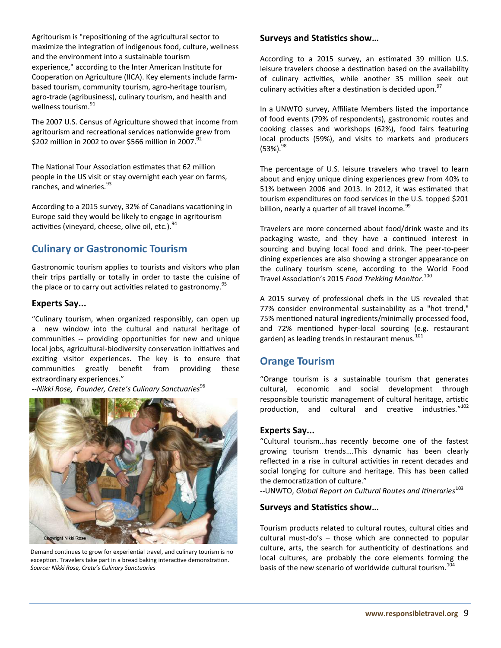Agritourism is "repositioning of the agricultural sector to maximize the integration of indigenous food, culture, wellness and the environment into a sustainable tourism experience," according to the Inter American Institute for Cooperation on Agriculture (IICA). Key elements include farmbased tourism, community tourism, agro-heritage tourism, agro-trade (agribusiness), culinary tourism, and health and wellness tourism.<sup>91</sup>

The 2007 U.S. Census of Agriculture showed that income from agritourism and recreational services nationwide grew from \$202 million in 2002 to over \$566 million in 2007.<sup>92</sup>

The National Tour Association estimates that 62 million people in the US visit or stay overnight each year on farms, ranches, and wineries.<sup>93</sup>

According to a 2015 survey, 32% of Canadians vacationing in Europe said they would be likely to engage in agritourism activities (vineyard, cheese, olive oil, etc.).<sup>94</sup>

# **Culinary or Gastronomic Tourism**

Gastronomic tourism applies to tourists and visitors who plan their trips partially or totally in order to taste the cuisine of the place or to carry out activities related to gastronomy.<sup>95</sup>

#### **Experts Say...**

"Culinary tourism, when organized responsibly, can open up a new window into the cultural and natural heritage of communities -- providing opportunities for new and unique local jobs, agricultural-biodiversity conservation initiatives and exciting visitor experiences. The key is to ensure that communities greatly benefit from providing these extraordinary experiences."

*--Nikki Rose, Founder, Crete's Culinary Sanctuaries*<sup>96</sup>



Demand continues to grow for experiential travel, and culinary tourism is no exception. Travelers take part in a bread baking interactive demonstration. *Source: Nikki Rose, Crete's Culinary Sanctuaries*

#### **Surveys and Statistics show…**

According to a 2015 survey, an estimated 39 million U.S. leisure travelers choose a destination based on the availability of culinary activities, while another 35 million seek out culinary activities after a destination is decided upon. $97$ 

In a UNWTO survey, Affiliate Members listed the importance of food events (79% of respondents), gastronomic routes and cooking classes and workshops (62%), food fairs featuring local products (59%), and visits to markets and producers  $(53\%)$ .  $^{98}$ 

The percentage of U.S. leisure travelers who travel to learn about and enjoy unique dining experiences grew from 40% to 51% between 2006 and 2013. In 2012, it was estimated that tourism expenditures on food services in the U.S. topped \$201 billion, nearly a quarter of all travel income.<sup>99</sup>

Travelers are more concerned about food/drink waste and its packaging waste, and they have a continued interest in sourcing and buying local food and drink. The peer-to-peer dining experiences are also showing a stronger appearance on the culinary tourism scene, according to the World Food Travel Association's 2015 *Food Trekking Monitor*. 100

A 2015 survey of professional chefs in the US revealed that 77% consider environmental sustainability as a "hot trend," 75% mentioned natural ingredients/minimally processed food, and 72% mentioned hyper-local sourcing (e.g. restaurant garden) as leading trends in restaurant menus.<sup>101</sup>

### **Orange Tourism**

"Orange tourism is a sustainable tourism that generates cultural, economic and social development through responsible touristic management of cultural heritage, artistic production, and cultural and creative industries."<sup>102</sup>

#### **Experts Say...**

"Cultural tourism…has recently become one of the fastest growing tourism trends….This dynamic has been clearly reflected in a rise in cultural activities in recent decades and social longing for culture and heritage. This has been called the democratization of culture."

--UNWTO, *Global Report on Cultural Routes and Itineraries*<sup>103</sup>

#### **Surveys and Statistics show…**

Tourism products related to cultural routes, cultural cities and cultural must-do's – those which are connected to popular culture, arts, the search for authenticity of destinations and local cultures, are probably the core elements forming the basis of the new scenario of worldwide cultural tourism.<sup>1</sup>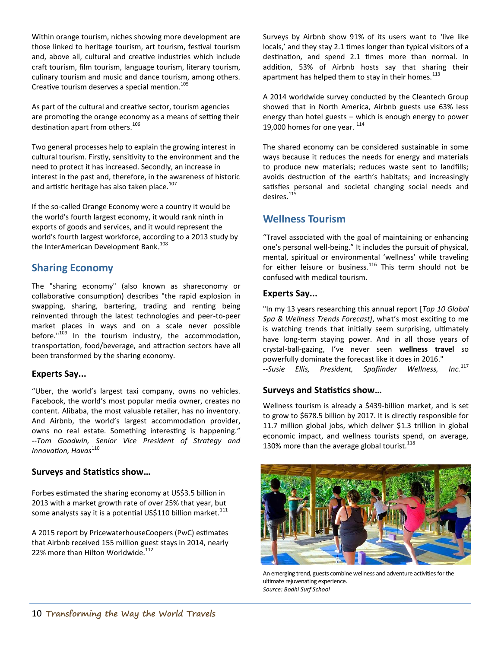Within orange tourism, niches showing more development are those linked to heritage tourism, art tourism, festival tourism and, above all, cultural and creative industries which include craft tourism, film tourism, language tourism, literary tourism, culinary tourism and music and dance tourism, among others. Creative tourism deserves a special mention.<sup>105</sup>

As part of the cultural and creative sector, tourism agencies are promoting the orange economy as a means of setting their destination apart from others.<sup>106</sup>

Two general processes help to explain the growing interest in cultural tourism. Firstly, sensitivity to the environment and the need to protect it has increased. Secondly, an increase in interest in the past and, therefore, in the awareness of historic and artistic heritage has also taken place. $107$ 

If the so-called Orange Economy were a country it would be the world's fourth largest economy, it would rank ninth in exports of goods and services, and it would represent the world's fourth largest workforce, according to a 2013 study by the InterAmerican Development Bank.<sup>108</sup>

### **Sharing Economy**

The "sharing economy" (also known as shareconomy or collaborative consumption) describes "the rapid explosion in swapping, sharing, bartering, trading and renting being reinvented through the latest technologies and peer-to-peer market places in ways and on a scale never possible before." $109$  In the tourism industry, the accommodation, transportation, food/beverage, and attraction sectors have all been transformed by the sharing economy.

#### **Experts Say...**

"Uber, the world's largest taxi company, owns no vehicles. Facebook, the world's most popular media owner, creates no content. Alibaba, the most valuable retailer, has no inventory. And Airbnb, the world's largest accommodation provider, owns no real estate. Something interesting is happening." *--Tom Goodwin, Senior Vice President of Strategy and Innovation, Havas*<sup>110</sup>

#### **Surveys and Statistics show…**

Forbes estimated the sharing economy at US\$3.5 billion in 2013 with a market growth rate of *o*ver 25% that year, but some analysts say it is a potential US\$110 billion market.<sup>111</sup>

A 2015 report by PricewaterhouseCoopers (PwC) estimates that Airbnb received 155 million guest stays in 2014, nearly 22% more than Hilton Worldwide.<sup>112</sup>

Surveys by Airbnb show 91% of its users want to 'live like locals,' and they stay 2.1 times longer than typical visitors of a destination, and spend 2.1 times more than normal. In addition, 53% of Airbnb hosts say that sharing their apartment has helped them to stay in their homes. $^{113}$ 

A 2014 worldwide survey conducted by the Cleantech Group showed that in North America, Airbnb guests use 63% less energy than hotel guests – which is enough energy to power 19,000 homes for one year.  $^{114}$ 

The shared economy can be considered sustainable in some ways because it reduces the needs for energy and materials to produce new materials; reduces waste sent to landfills; avoids destruction of the earth's habitats; and increasingly satisfies personal and societal changing social needs and desires.<sup>115</sup>

# **Wellness Tourism**

"Travel associated with the goal of maintaining or enhancing one's personal well-being." It includes the pursuit of physical, mental, spiritual or environmental 'wellness' while traveling for either leisure or business.<sup>116</sup> This term should not be confused with medical tourism.

#### **Experts Say...**

"In my 13 years researching this annual report [*Top 10 Global Spa & Wellness Trends Forecast]*, what's most exciting to me is watching trends that initially seem surprising, ultimately have long-term staying power. And in all those years of crystal-ball-gazing, I've never seen **wellness travel** so powerfully dominate the forecast like it does in 2016."<br>--Susie Ellis, President, Spafiinder Wellness. Inc.<sup>117</sup> --Susie Ellis, President, Spafiinder Wellness,

#### **Surveys and Statistics show…**

Wellness tourism is already a \$439-billion market, and is set to grow to \$678.5 billion by 2017. It is directly responsible for 11.7 million global jobs, which deliver \$1.3 trillion in global economic impact, and wellness tourists spend, on average, 130% more than the average global tourist.<sup>118</sup>



An emerging trend, guests combine wellness and adventure activities for the ultimate rejuvenating experience. *Source: Bodhi Surf School*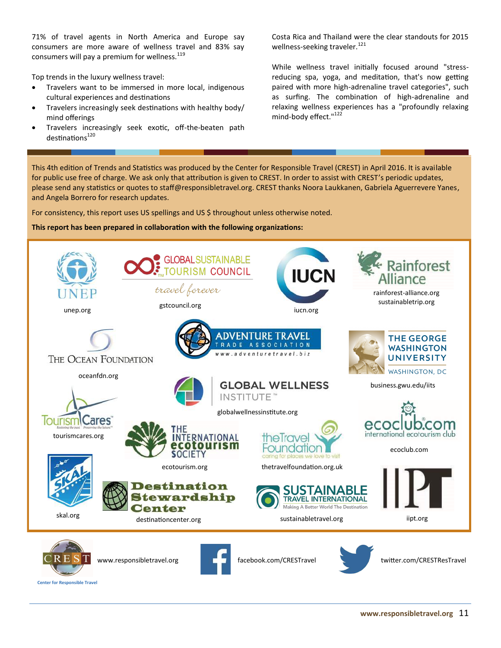71% of travel agents in North America and Europe say consumers are more aware of wellness travel and 83% say consumers will pay a premium for wellness. $119$ 

Top trends in the luxury wellness travel:

- Travelers want to be immersed in more local, indigenous cultural experiences and destinations
- Travelers increasingly seek destinations with healthy body/ mind offerings
- Travelers increasingly seek exotic, off-the-beaten path  $destinations<sup>120</sup>$

Costa Rica and Thailand were the clear standouts for 2015 wellness-seeking traveler.<sup>121</sup>

While wellness travel initially focused around "stressreducing spa, yoga, and meditation, that's now getting paired with more high-adrenaline travel categories", such as surfing. The combination of high-adrenaline and relaxing wellness experiences has a "profoundly relaxing mind-body effect."<sup>122</sup>

This 4th edition of Trends and Statistics was produced by the Center for Responsible Travel (CREST) in April 2016. It is available for public use free of charge. We ask only that attribution is given to CREST. In order to assist with CREST's periodic updates, please send any statistics or quotes to staff@responsibletravel.org. CREST thanks Noora Laukkanen, Gabriela Aguerrevere Yanes, and Angela Borrero for research updates.

For consistency, this report uses US spellings and US \$ throughout unless otherwise noted.

#### **This report has been prepared in collaboration with the following organizations:**





www.responsibletravel.org



facebook.com/CRESTravel twitter.com/CRESTResTravel

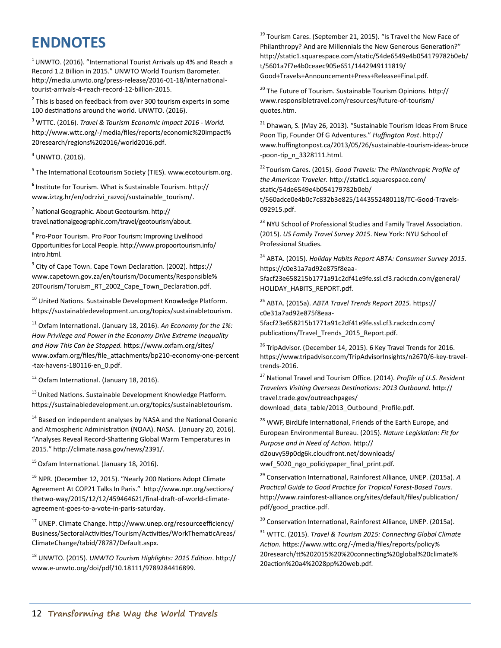# **ENDNOTES**

 $1$ UNWTO. (2016). "International Tourist Arrivals up 4% and Reach a Record 1.2 Billion in 2015." UNWTO World Tourism Barometer. http://media.unwto.org/press-release/2016-01-18/internationaltourist-arrivals-4-reach-record-12-billion-2015.

 $2$  This is based on feedback from over 300 tourism experts in some 100 destinations around the world. UNWTO. (2016).

<sup>3</sup> WTTC. (2016). *Travel & Tourism Economic Impact 2016 - World.* http://www.wttc.org/-/media/files/reports/economic%20impact% 20research/regions%202016/world2016.pdf.

 $4$  UNWTO. (2016).

<sup>5</sup> The International Ecotourism Society (TIES). [www.ecotourism.org.](http://www.ecotourism.org)

**6** Institute for Tourism. What is Sustainable Tourism. [http://](http://www.iztzg.hr/en/odrzivi_razvoj/sustainable_tourism/) [www.iztzg.hr/en/odrzivi\\_razvoj/sustainable\\_tourism/.](http://www.iztzg.hr/en/odrzivi_razvoj/sustainable_tourism/)

 $<sup>7</sup>$  National Geographic. About Geotourism. http://</sup> travel.nationalgeographic.com/travel/geotourism/about.

<sup>8</sup> Pro-Poor Tourism. Pro Poor Tourism: Improving Livelihood Opportunities for Local People. http://www.propoortourism.info/ intro.html.

9 City of Cape Town. Cape Town Declaration. (2002). https:// www.capetown.gov.za/en/tourism/Documents/Responsible% 20Tourism/Toruism\_RT\_2002\_Cape\_Town\_Declaration.pdf.

<sup>10</sup> United Nations. Sustainable Development Knowledge Platform. https://sustainabledevelopment.un.org/topics/sustainabletourism.

<sup>11</sup> Oxfam International. (January 18, 2016). *An Economy for the 1%: How Privilege and Power in the Economy Drive Extreme Inequality and How This Can be Stopped.* https://www.oxfam.org/sites/ www.oxfam.org/files/file\_attachments/bp210-economy-one-percent -tax-havens-180116-en\_0.pdf.

<sup>12</sup> Oxfam International. (January 18, 2016).

<sup>13</sup> United Nations. Sustainable Development Knowledge Platform. https://sustainabledevelopment.un.org/topics/sustainabletourism.

 $14$  Based on independent analyses by NASA and the National Oceanic and Atmospheric Administration (NOAA). NASA. (January 20, 2016). "Analyses Reveal Record-Shattering Global Warm Temperatures in 2015." [http://climate.nasa.gov/news/2391/.](http://climate.nasa.gov/news/2391/)

 $15$  Oxfam International. (January 18, 2016).

<sup>16</sup> NPR. (December 12, 2015). "Nearly 200 Nations Adopt Climate Agreement At COP21 Talks In Paris." [http://www.npr.org/sections/](http://www.npr.org/sections/thetwo-way/2015/12/12/459464621/final-draft-of-world-climate-agreement-goes-to-a-vote-in-paris-saturday) thetwo-[way/2015/12/12/459464621/final](http://www.npr.org/sections/thetwo-way/2015/12/12/459464621/final-draft-of-world-climate-agreement-goes-to-a-vote-in-paris-saturday)-draft-of-world-climate[agreement](http://www.npr.org/sections/thetwo-way/2015/12/12/459464621/final-draft-of-world-climate-agreement-goes-to-a-vote-in-paris-saturday)-goes-to-a-vote-in-paris-saturday.

<sup>17</sup> UNEP. Climate Change. http://www.unep.org/resourceefficiency/ Business/SectoralActivities/Tourism/Activities/WorkThematicAreas/ ClimateChange/tabid/78787/Default.aspx.

<sup>18</sup> UNWTO. (2015). *UNWTO Tourism Highlights: 2015 Edition*. http:// www.e-unwto.org/doi/pdf/10.18111/9789284416899.

<sup>19</sup> Tourism Cares. (September 21, 2015). "Is Travel the New Face of Philanthropy? And are Millennials the New Generous Generation?" http://static1.squarespace.com/static/54de6549e4b054179782b0eb/ t/5601a7f7e4b0ceaec905e651/1442949111819/ Good+Travels+Announcement+Press+Release+Final.pdf.

<sup>20</sup> The Future of Tourism. Sustainable Tourism Opinions. [http://](http://www.responsibletravel.com/resources/future-of-tourism/quotes.htm) [www.responsibletravel.com/resources/future](http://www.responsibletravel.com/resources/future-of-tourism/quotes.htm)-of-tourism/ [quotes.htm.](http://www.responsibletravel.com/resources/future-of-tourism/quotes.htm)

 $21$  Dhawan, S. (May 26, 2013). "Sustainable Tourism Ideas From Bruce Poon Tip, Founder Of G Adventures." *Huffington Post*. [http://](http://www.huffingtonpost.ca/2013/05/26/sustainable-tourism-ideas-bruce-poon-tip_n_3328111.html) [www.huffingtonpost.ca/2013/05/26/sustainable](http://www.huffingtonpost.ca/2013/05/26/sustainable-tourism-ideas-bruce-poon-tip_n_3328111.html)-tourism-ideas-bruce -poon-[tip\\_n\\_3328111.html.](http://www.huffingtonpost.ca/2013/05/26/sustainable-tourism-ideas-bruce-poon-tip_n_3328111.html)

<sup>22</sup>Tourism Cares. (2015). *Good Travels: The Philanthropic Profile of the American Traveler.* http://static1.squarespace.com/ static/54de6549e4b054179782b0eb/ t/560adce0e4b0c7c832b3e825/1443552480118/TC-Good-Travels-092915.pdf.

<sup>23</sup> NYU School of Professional Studies and Family Travel Association. (2015). *US Family Travel Survey 2015*. New York: NYU School of Professional Studies.

<sup>24</sup> ABTA. (2015). *Holiday Habits Report ABTA: Consumer Survey 2015.* https://c0e31a7ad92e875f8eaa-5facf23e658215b1771a91c2df41e9fe.ssl.cf3.rackcdn.com/general/ HOLIDAY\_HABITS\_REPORT.pdf.

<sup>25</sup> ABTA. (2015a). *ABTA Travel Trends Report 2015.* https:// c0e31a7ad92e875f8eaa-5facf23e658215b1771a91c2df41e9fe.ssl.cf3.rackcdn.com/ publications/Travel\_Trends\_2015\_Report.pdf.

<sup>26</sup> TripAdvisor. (December 14, 2015). 6 Key Travel Trends for 2016. https://www.tripadvisor.com/TripAdvisorInsights/n2670/6-key-traveltrends-2016.

<sup>27</sup> National Travel and Tourism Office. (2014). *Profile of U.S. Resident Travelers Visiting Overseas Destinations: 2013 Outbound.* http:// travel.trade.gov/outreachpages/ download data table/2013 Outbound Profile.pdf.

<sup>28</sup> WWF, BirdLife International, Friends of the Earth Europe, and European Environmental Bureau. (2015). *Nature Legislation: Fit for Purpose and in Need of Action.* http://

d2ouvy59p0dg6k.cloudfront.net/downloads/ wwf\_5020\_ngo\_policiypaper\_final\_print.pdf.

<sup>29</sup> Conservation International, Rainforest Alliance, UNEP. (2015a). *A Practical Guide to Good Practice for Tropical Forest-Based Tours.* http://www.rainforest-alliance.org/sites/default/files/publication/ pdf/good\_practice.pdf.

<sup>30</sup> Conservation International, Rainforest Alliance, UNEP. (2015a).

<sup>31</sup> WTTC. (2015). *Travel & Tourism 2015: Connecting Global Climate Action.* https://www.wttc.org/-[/media/files/reports/policy%](https://www.wttc.org/-/media/files/reports/policy%20research/tt%202015%20%20connecting%20global%20climate%20action%20a4%2028pp%20web.pdf) [20research/tt%202015%20%20connecting%20global%20climate%](https://www.wttc.org/-/media/files/reports/policy%20research/tt%202015%20%20connecting%20global%20climate%20action%20a4%2028pp%20web.pdf) [20action%20a4%2028pp%20web.pdf.](https://www.wttc.org/-/media/files/reports/policy%20research/tt%202015%20%20connecting%20global%20climate%20action%20a4%2028pp%20web.pdf)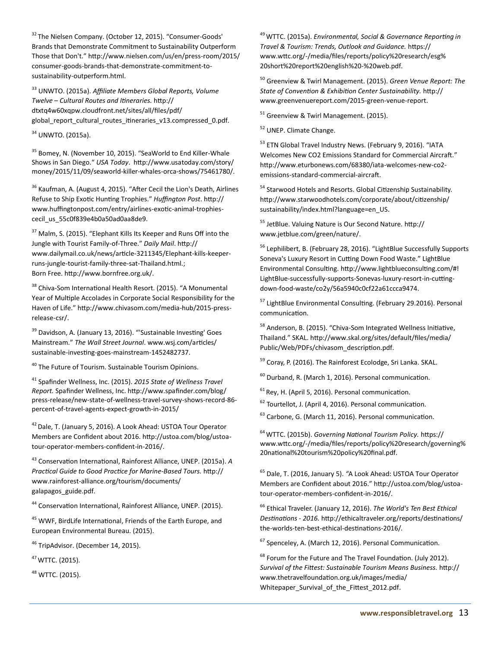<sup>32</sup> The Nielsen Company. (October 12, 2015). "Consumer-Goods' Brands that Demonstrate Commitment to Sustainability Outperform Those that Don't." http://www.nielsen.com/us/en/press-room/2015/ consumer-goods-brands-that-demonstrate-commitment-tosustainability-outperform.html.

<sup>33</sup> UNWTO. (2015a). *Affiliate Members Global Reports, Volume Twelve – Cultural Routes and Itineraries.* [http://](http://dtxtq4w60xqpw.cloudfront.net/sites/all/files/pdf/global_report_cultural_routes_itineraries_v13.compressed_0.pdf) [dtxtq4w60xqpw.cloudfront.net/sites/all/files/pdf/](http://dtxtq4w60xqpw.cloudfront.net/sites/all/files/pdf/global_report_cultural_routes_itineraries_v13.compressed_0.pdf) [global\\_report\\_cultural\\_routes\\_itineraries\\_v13.compressed\\_0.pdf](http://dtxtq4w60xqpw.cloudfront.net/sites/all/files/pdf/global_report_cultural_routes_itineraries_v13.compressed_0.pdf)*.*

<sup>34</sup> UNWTO. (2015a).

<sup>35</sup> Bomey, N. (November 10, 2015). "SeaWorld to End Killer-Whale Shows in San Diego." *USA Today*. http://www.usatoday.com/story/ money/2015/11/09/seaworld-killer-whales-orca-shows/75461780/.

<sup>36</sup> Kaufman, A. (August 4, 2015). "After Cecil the Lion's Death, Airlines Refuse to Ship Exotic Hunting Trophies." *Huffington Post*. http:// www.huffingtonpost.com/entry/airlines-exotic-animal-trophiescecil us 55c0f839e4b0a50ad0aa8de9.

<sup>37</sup> Malm, S. (2015). "Elephant Kills Its Keeper and Runs Off into the Jungle with Tourist Family-of-Three." *Daily Mail*. http:// www.dailymail.co.uk/news/article-3211345/Elephant-kills-keeperruns-jungle-tourist-family-three-sat-Thailand.html.; Born Free. http://www.bornfree.org.uk/.

<sup>38</sup> Chiva-Som International Health Resort. (2015). "A Monumental Year of Multiple Accolades in Corporate Social Responsibility for the Haven of Life." http://www.chivasom.com/media-hub/2015-pressrelease-csr/.

<sup>39</sup> Davidson, A. (January 13, 2016). "'Sustainable Investing' Goes Mainstream." *The Wall Street Journal*. www.wsj.com/articles/ sustainable-investing-goes-mainstream-1452482737.

<sup>40</sup> The Future of Tourism. Sustainable Tourism Opinions.

<sup>41</sup> Spafinder Wellness, Inc. (2015). *2015 State of Wellness Travel Report.* Spafinder Wellness, Inc. http://www.spafinder.com/blog/ press-release/new-state-of-wellness-travel-survey-shows-record-86 percent-of-travel-agents-expect-growth-in-2015/

<sup>42</sup> Dale, T. (January 5, 2016). A Look Ahead: USTOA Tour Operator Members are Confident about 2016. http://ustoa.com/blog/ustoatour-operator-members-confident-in-2016/.

<sup>43</sup> Conservation International, Rainforest Alliance, UNEP. (2015a). *A Practical Guide to Good Practice for Marine-Based Tours.* http:// www.rainforest-alliance.org/tourism/documents/ galapagos\_guide.pdf.

<sup>44</sup> Conservation International, Rainforest Alliance, UNEP. (2015).

<sup>45</sup> WWF, BirdLife International, Friends of the Earth Europe, and European Environmental Bureau. (2015).

<sup>46</sup> TripAdvisor. (December 14, 2015).

<sup>47</sup>WTTC. (2015).

<sup>48</sup> WTTC. (2015).

<sup>49</sup>WTTC. (2015a). *Environmental, Social & Governance Reporting in Travel & Tourism: Trends, Outlook and Guidance.* https:// www.wttc.org/-/media/files/reports/policy%20research/esg% 20short%20report%20english%20-%20web.pdf.

<sup>50</sup> Greenview & Twirl Management. (2015). *Green Venue Report: The State of Convention & Exhibition Center Sustainability.* http:// www.greenvenuereport.com/2015-green-venue-report.

 $51$  Greenview & Twirl Management. (2015).

<sup>52</sup> UNEP. Climate Change.

<sup>53</sup> ETN Global Travel Industry News. (February 9, 2016). "IATA Welcomes New CO2 Emissions Standard for Commercial Aircraft." http://www.eturbonews.com/68380/iata-welcomes-new-co2 emissions-standard-commercial-aircraft.

<sup>54</sup> Starwood Hotels and Resorts. Global Citizenship Sustainability. [http://www.starwoodhotels.com/corporate/about/citizenship/](http://www.starwoodhotels.com/corporate/about/citizenship/sustainability/index.html?language=en_US) [sustainability/index.html?language=en\\_US.](http://www.starwoodhotels.com/corporate/about/citizenship/sustainability/index.html?language=en_US)

<sup>55</sup> JetBlue. Valuing Nature is Our Second Nature. [http://](http://www.jetblue.com/green/nature/) [www.jetblue.com/green/nature/.](http://www.jetblue.com/green/nature/)

<sup>56</sup> Lephilibert, B. (February 28, 2016). "LightBlue Successfully Supports Soneva's Luxury Resort in Cutting Down Food Waste." LightBlue Environmental Consulting. [http://www.lightblueconsulting.com/#!](http://www.lightblueconsulting.com/#!LightBlue-successfully-supports-Sonevas-luxury-resort-in-cutting-down-food-waste/co2y/56a5940c0cf22a61ccca9474) LightBlue-[successfully](http://www.lightblueconsulting.com/#!LightBlue-successfully-supports-Sonevas-luxury-resort-in-cutting-down-food-waste/co2y/56a5940c0cf22a61ccca9474)-supports-Sonevas-luxury-resort-in-cuttingdown-food-[waste/co2y/56a5940c0cf22a61ccca9474.](http://www.lightblueconsulting.com/#!LightBlue-successfully-supports-Sonevas-luxury-resort-in-cutting-down-food-waste/co2y/56a5940c0cf22a61ccca9474)

<sup>57</sup> LightBlue Environmental Consulting. (February 29.2016). Personal communication.

<sup>58</sup> Anderson, B. (2015). "Chiva-Som Integrated Wellness Initiative, Thailand." SKAL. http://www.skal.org/sites/default/files/media/ Public/Web/PDFs/chivasom\_description.pdf.

<sup>59</sup> Coray, P. (2016). The Rainforest Ecolodge, Sri Lanka*.* SKAL.

 $60$  Durband, R. (March 1, 2016). Personal communication.

 $<sup>61</sup>$  Rey, H. (April 5, 2016). Personal communication.</sup>

<sup>62</sup> Tourtellot, J. (April 4, 2016). Personal communication.

<sup>63</sup> Carbone, G. (March 11, 2016). Personal communication.

<sup>64</sup>WTTC. (2015b). *Governing National Tourism Policy.* https:// www.wttc.org/-/media/files/reports/policy%20research/governing% 20national%20tourism%20policy%20final.pdf.

<sup>65</sup> Dale, T. (2016, January 5). *"*A Look Ahead: USTOA Tour Operator Members are Confident about 2016." http://ustoa.com/blog/ustoatour-operator-members-confident-in-2016/.

<sup>66</sup> Ethical Traveler. (January 12, 2016). *The World's Ten Best Ethical Destinations - 2016.* [http://ethicaltraveler.org/reports/destinations/](http://ethicaltraveler.org/reports/destinations/the-worlds-ten-best-ethical-destinations-2016/) the-worlds-ten-best-ethical-[destinations](http://ethicaltraveler.org/reports/destinations/the-worlds-ten-best-ethical-destinations-2016/)-2016/*.*

<sup>67</sup> Spenceley, A. (March 12, 2016). Personal Communication.

<sup>68</sup> Forum for the Future and The Travel Foundation. (July 2012). *Survival of the Fittest: Sustainable Tourism Means Business.* [http://](http://www.thetravelfoundation.org.uk/images/media/Whitepaper_Survival_of_the_Fittest_2012.pdf) [www.thetravelfoundation.org.uk/images/media/](http://www.thetravelfoundation.org.uk/images/media/Whitepaper_Survival_of_the_Fittest_2012.pdf) Whitepaper Survival of the Fittest 2012.pdf.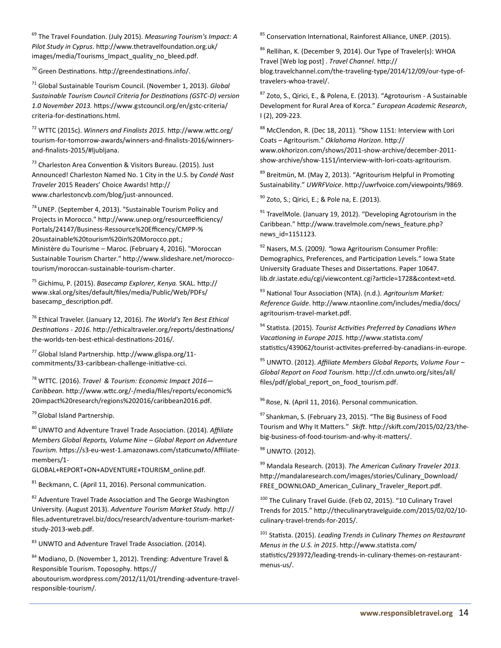<sup>69</sup> The Travel Foundation. (July 2015). *Measuring Tourism's Impact: A Pilot Study in Cyprus*. http://www.thetravelfoundation.org.uk/ images/media/Tourisms\_Impact\_quality\_no\_bleed.pdf.

<sup>70</sup> Green Destinations. [http://greendestinations.info/.](http://greendestinations.info/) 

<sup>71</sup> Global Sustainable Tourism Council. (November 1, 2013). *Global Sustainable Tourism Council Criteria for Destinations (GSTC-D) version 1.0 November 2013.* [https://www.gstcouncil.org/en/gstc](https://www.gstcouncil.org/en/gstc-criteria/criteria-for-destinations.html)-criteria/ criteria-for-[destinations.html.](https://www.gstcouncil.org/en/gstc-criteria/criteria-for-destinations.html)

<sup>72</sup> WTTC (2015c). *Winners and Finalists 2015.* [http://www.wttc.org/](http://www.wttc.org/tourism-for-tomorrow-awards/winners-and-finalists-2016/winners-and-finalists-2015/#ljubljana) tourism-for-tomorrow-[awards/winners](http://www.wttc.org/tourism-for-tomorrow-awards/winners-and-finalists-2016/winners-and-finalists-2015/#ljubljana)-and-finalists-2016/winnersand-finalists-[2015/#ljubljana.](http://www.wttc.org/tourism-for-tomorrow-awards/winners-and-finalists-2016/winners-and-finalists-2015/#ljubljana) 

<sup>73</sup> Charleston Area Convention & Visitors Bureau. (2015). Just Announced! Charleston Named No. 1 City in the U.S. by *Condé Nast Traveler* 2015 Readers' Choice Awards! [http://](http://www.charlestoncvb.com/blog/just-announced) [www.charlestoncvb.com/blog/just](http://www.charlestoncvb.com/blog/just-announced)-announced.

 $74$  UNEP. (September 4, 2013). "Sustainable Tourism Policy and Projects in Morocco." http://www.unep.org/resourceefficiency/ Portals/24147/Business-Ressource%20Efficency/CMPP-% 20sustainable%20tourism%20in%20Morocco.ppt.; Ministère du Tourisme – Maroc. (February 4, 2016). "Moroccan Sustainable Tourism Charter." http://www.slideshare.net/moroccotourism/moroccan-sustainable-tourism-charter.

<sup>75</sup> Gichimu, P. (2015). *Basecamp Explorer, Kenya.* SKAL. http:// www.skal.org/sites/default/files/media/Public/Web/PDFs/ basecamp\_description.pdf.

<sup>76</sup> Ethical Traveler. (January 12, 2016). *The World's Ten Best Ethical Destinations - 2016.* [http://ethicaltraveler.org/reports/destinations/](http://ethicaltraveler.org/reports/destinations/the-worlds-ten-best-ethical-destinations-2016/) the-worlds-ten-best-ethical-[destinations](http://ethicaltraveler.org/reports/destinations/the-worlds-ten-best-ethical-destinations-2016/)-2016/*.* 

<sup>77</sup> Global Island Partnership. [http://www.glispa.org/11](http://www.glispa.org/11-commitments/33-caribbean-challenge-initiative-cci) [commitments/33](http://www.glispa.org/11-commitments/33-caribbean-challenge-initiative-cci)-caribbean-challenge-initiative-cci.

<sup>78</sup> WTTC. (2016). *Travel & Tourism: Economic Impact 2016— Caribbean.* http://www.wttc.org/-/media/files/reports/economic% 20impact%20research/regions%202016/caribbean2016.pdf.

<sup>79</sup> Global Island Partnership.

<sup>80</sup> UNWTO and Adventure Travel Trade Association. (2014). *Affiliate Members Global Reports, Volume Nine – Global Report on Adventure Tourism.* https://s3-eu-west-1.amazonaws.com/staticunwto/Affiliatemembers/1-

GLOBAL+REPORT+ON+ADVENTURE+TOURISM\_online.pdf.

 $81$  Beckmann, C. (April 11, 2016). Personal communication.

<sup>82</sup> Adventure Travel Trade Association and The George Washington University. (August 2013). *Adventure Tourism Market Study.* http:// files.adventuretravel.biz/docs/research/adventure-tourism-marketstudy-2013-web.pdf.

83 UNWTO and Adventure Travel Trade Association. (2014).

<sup>84</sup> Modiano, D. (November 1, 2012). Trending: Adventure Travel & Responsible Tourism. Toposophy. https://

aboutourism.wordpress.com/2012/11/01/trending-adventure-travelresponsible-tourism/.

85 Conservation International, Rainforest Alliance, UNEP. (2015).

86 Rellihan, K. (December 9, 2014). Our Type of Traveler(s): WHOA Travel [Web log post] . *Travel Channel*. http:// blog.travelchannel.com/the-traveling-type/2014/12/09/our-type-oftravelers-whoa-travel/.

<sup>87</sup> Zoto, S., Qirici, E., & Polena, E. (2013). "Agrotourism - A Sustainable Development for Rural Area of Korca." *European Academic Research*, I (2), 209-223.

88 McClendon, R. (Dec 18, 2011). "Show 1151: Interview with Lori Coats – Agritourism." *Oklahoma Horizon*. http:// www.okhorizon.com/shows/2011-show-archive/december-2011 show-archive/show-1151/interview-with-lori-coats-agritourism.

<sup>89</sup> Breitmün, M. (May 2, 2013). "Agritourism Helpful in Promoting Sustainability." *UWRFVoice*. http://uwrfvoice.com/viewpoints/9869.

 $90$  Zoto, S.; Qirici, E.; & Pole na, E. (2013).

 $91$  TravelMole. (January 19, 2012). "Developing Agrotourism in the Caribbean." http://www.travelmole.com/news\_feature.php? news\_id=1151123.

<sup>92</sup> Nasers, M.S. (2009*). "*Iowa Agritourism Consumer Profile: Demographics, Preferences, and Participation Levels." Iowa State University Graduate Theses and Dissertations. Paper 10647. lib.dr.iastate.edu/cgi/viewcontent.cgi?article=1728&context=etd.

<sup>93</sup> National Tour Association (NTA). (n.d.). *Agritourism Market: Reference Guide*. http://www.ntaonline.com/includes/media/docs/ agritourism-travel-market.pdf.

<sup>94</sup> Statista. (2015). *Tourist Activities Preferred by Canadians When Vacationing in Europe 2015.* http://www.statista.com/ statistics/439062/tourist-activites-preferred-by-canadians-in-europe.

<sup>95</sup> UNWTO. (2012). *Affiliate Members Global Reports, Volume Four – Global Report on Food Tourism*. http://cf.cdn.unwto.org/sites/all/ files/pdf/global\_report\_on\_food\_tourism.pdf.

<sup>96</sup> Rose, N. (April 11, 2016). Personal communication.

 $97$  Shankman, S. (February 23, 2015). "The Big Business of Food Tourism and Why It Matters." *Skift*. http://skift.com/2015/02/23/thebig-business-of-food-tourism-and-why-it-matters/.

<sup>98</sup> UNWTO. (2012).

<sup>99</sup> Mandala Research. (2013). *The American Culinary Traveler 2013.* http://mandalaresearch.com/images/stories/Culinary\_Download/ FREE\_DOWNLOAD\_American\_Culinary\_Traveler\_Report.pdf.

<sup>100</sup> The Culinary Travel Guide. (Feb 02, 2015). "10 Culinary Travel Trends for 2015." http://theculinarytravelguide.com/2015/02/02/10 culinary-travel-trends-for-2015/.

<sup>101</sup> Statista. (2015). *Leading Trends in Culinary Themes on Restaurant Menus in the U.S. in 2015*. http://www.statista.com/ statistics/293972/leading-trends-in-culinary-themes-on-restaurantmenus-us/.